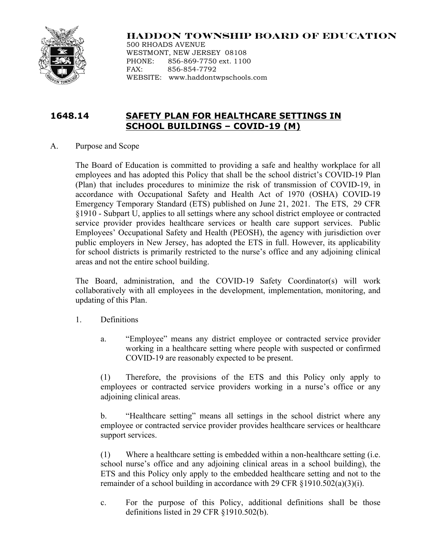

# **HADDON TOWNSHIP BOARD OF EDUCATION**

500 RHOADS AVENUE WESTMONT, NEW JERSEY 08108 PHONE: 856-869-7750 ext. 1100 FAX: 856-854-7792 WEBSITE: www.haddontwpschools.com

## **1648.14 SAFETY PLAN FOR HEALTHCARE SETTINGS IN SCHOOL BUILDINGS – COVID-19 (M)**

A. Purpose and Scope

The Board of Education is committed to providing a safe and healthy workplace for all employees and has adopted this Policy that shall be the school district's COVID-19 Plan (Plan) that includes procedures to minimize the risk of transmission of COVID-19, in accordance with Occupational Safety and Health Act of 1970 (OSHA) COVID-19 Emergency Temporary Standard (ETS) published on June 21, 2021. The ETS, 29 CFR §1910 - Subpart U, applies to all settings where any school district employee or contracted service provider provides healthcare services or health care support services. Public Employees' Occupational Safety and Health (PEOSH), the agency with jurisdiction over public employers in New Jersey, has adopted the ETS in full. However, its applicability for school districts is primarily restricted to the nurse's office and any adjoining clinical areas and not the entire school building.

The Board, administration, and the COVID-19 Safety Coordinator(s) will work collaboratively with all employees in the development, implementation, monitoring, and updating of this Plan.

- 1. Definitions
	- a. "Employee" means any district employee or contracted service provider working in a healthcare setting where people with suspected or confirmed COVID-19 are reasonably expected to be present.

(1) Therefore, the provisions of the ETS and this Policy only apply to employees or contracted service providers working in a nurse's office or any adjoining clinical areas.

b. "Healthcare setting" means all settings in the school district where any employee or contracted service provider provides healthcare services or healthcare support services.

(1) Where a healthcare setting is embedded within a non-healthcare setting (i.e. school nurse's office and any adjoining clinical areas in a school building), the ETS and this Policy only apply to the embedded healthcare setting and not to the remainder of a school building in accordance with 29 CFR §1910.502(a)(3)(i).

c. For the purpose of this Policy, additional definitions shall be those definitions listed in 29 CFR §1910.502(b).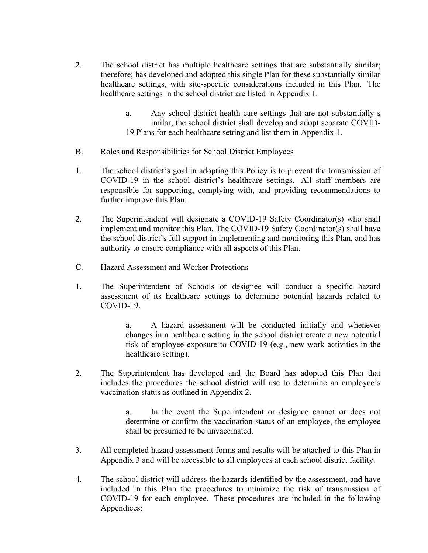- 2. The school district has multiple healthcare settings that are substantially similar; therefore; has developed and adopted this single Plan for these substantially similar healthcare settings, with site-specific considerations included in this Plan. The healthcare settings in the school district are listed in Appendix 1.
	- a. Any school district health care settings that are not substantially s imilar, the school district shall develop and adopt separate COVID-19 Plans for each healthcare setting and list them in Appendix 1.
- B. Roles and Responsibilities for School District Employees
- 1. The school district's goal in adopting this Policy is to prevent the transmission of COVID-19 in the school district's healthcare settings. All staff members are responsible for supporting, complying with, and providing recommendations to further improve this Plan.
- 2. The Superintendent will designate a COVID-19 Safety Coordinator(s) who shall implement and monitor this Plan. The COVID-19 Safety Coordinator(s) shall have the school district's full support in implementing and monitoring this Plan, and has authority to ensure compliance with all aspects of this Plan.
- C. Hazard Assessment and Worker Protections
- 1. The Superintendent of Schools or designee will conduct a specific hazard assessment of its healthcare settings to determine potential hazards related to COVID-19.

a. A hazard assessment will be conducted initially and whenever changes in a healthcare setting in the school district create a new potential risk of employee exposure to COVID-19 (e.g., new work activities in the healthcare setting).

2. The Superintendent has developed and the Board has adopted this Plan that includes the procedures the school district will use to determine an employee's vaccination status as outlined in Appendix 2.

> a. In the event the Superintendent or designee cannot or does not determine or confirm the vaccination status of an employee, the employee shall be presumed to be unvaccinated.

- 3. All completed hazard assessment forms and results will be attached to this Plan in Appendix 3 and will be accessible to all employees at each school district facility.
- 4. The school district will address the hazards identified by the assessment, and have included in this Plan the procedures to minimize the risk of transmission of COVID-19 for each employee. These procedures are included in the following Appendices: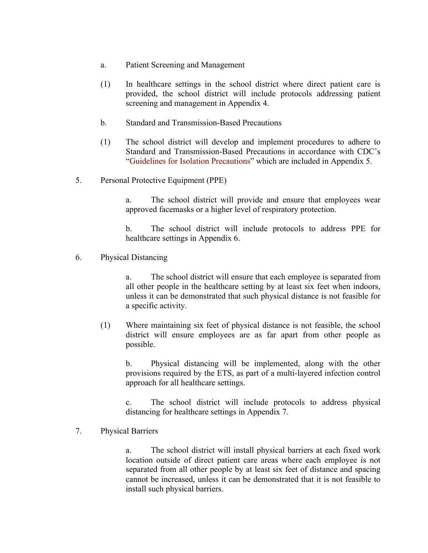- a. Patient Screening and Management
- (1) In healthcare settings in the school district where direct patient care is provided, the school district will include protocols addressing patient screening and management in Appendix 4.
- b. Standard and Transmission-Based Precautions
- (1) The school district will develop and implement procedures to adhere to Standard and Transmission-Based Precautions in accordance with CDC's "Guidelines for Isolation Precautions" which are included in Appendix 5.
- 5. Personal Protective Equipment (PPE)

a. The school district will provide and ensure that employees wear approved facemasks or a higher level of respiratory protection.

b. The school district will include protocols to address PPE for healthcare settings in Appendix 6.

6. Physical Distancing

a. The school district will ensure that each employee is separated from all other people in the healthcare setting by at least six feet when indoors, unless it can be demonstrated that such physical distance is not feasible for a specific activity.

(1) Where maintaining six feet of physical distance is not feasible, the school district will ensure employees are as far apart from other people as possible.

b. Physical distancing will be implemented, along with the other provisions required by the ETS, as part of a multi-layered infection control approach for all healthcare settings.

c. The school district will include protocols to address physical distancing for healthcare settings in Appendix 7.

#### 7. Physical Barriers

a. The school district will install physical barriers at each fixed work location outside of direct patient care areas where each employee is not separated from all other people by at least six feet of distance and spacing cannot be increased, unless it can be demonstrated that it is not feasible to install such physical barriers.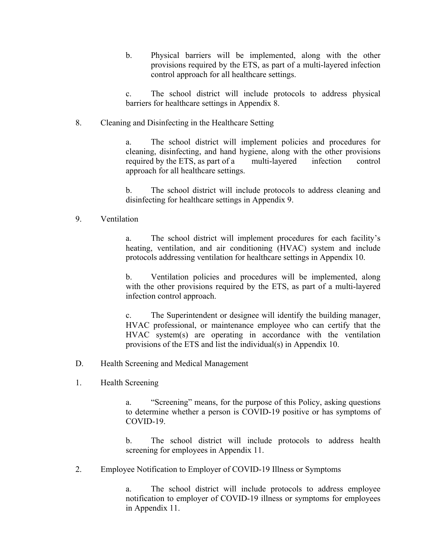b. Physical barriers will be implemented, along with the other provisions required by the ETS, as part of a multi-layered infection control approach for all healthcare settings.

c. The school district will include protocols to address physical barriers for healthcare settings in Appendix 8.

8. Cleaning and Disinfecting in the Healthcare Setting

a. The school district will implement policies and procedures for cleaning, disinfecting, and hand hygiene, along with the other provisions required by the ETS, as part of a multi-layered infection control approach for all healthcare settings.

b. The school district will include protocols to address cleaning and disinfecting for healthcare settings in Appendix 9.

### 9. Ventilation

a. The school district will implement procedures for each facility's heating, ventilation, and air conditioning (HVAC) system and include protocols addressing ventilation for healthcare settings in Appendix 10.

b. Ventilation policies and procedures will be implemented, along with the other provisions required by the ETS, as part of a multi-layered infection control approach.

c. The Superintendent or designee will identify the building manager, HVAC professional, or maintenance employee who can certify that the HVAC system(s) are operating in accordance with the ventilation provisions of the ETS and list the individual(s) in Appendix 10.

- D. Health Screening and Medical Management
- 1. Health Screening

a. "Screening" means, for the purpose of this Policy, asking questions to determine whether a person is COVID-19 positive or has symptoms of COVID-19.

b. The school district will include protocols to address health screening for employees in Appendix 11.

2. Employee Notification to Employer of COVID-19 Illness or Symptoms

a. The school district will include protocols to address employee notification to employer of COVID-19 illness or symptoms for employees in Appendix 11.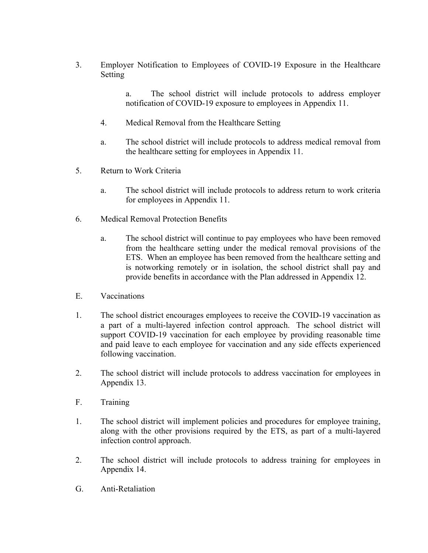3. Employer Notification to Employees of COVID-19 Exposure in the Healthcare Setting

> a. The school district will include protocols to address employer notification of COVID-19 exposure to employees in Appendix 11.

- 4. Medical Removal from the Healthcare Setting
- a. The school district will include protocols to address medical removal from the healthcare setting for employees in Appendix 11.
- 5. Return to Work Criteria
	- a. The school district will include protocols to address return to work criteria for employees in Appendix 11.
- 6. Medical Removal Protection Benefits
	- a. The school district will continue to pay employees who have been removed from the healthcare setting under the medical removal provisions of the ETS. When an employee has been removed from the healthcare setting and is notworking remotely or in isolation, the school district shall pay and provide benefits in accordance with the Plan addressed in Appendix 12.
- E. Vaccinations
- 1. The school district encourages employees to receive the COVID-19 vaccination as a part of a multi-layered infection control approach. The school district will support COVID-19 vaccination for each employee by providing reasonable time and paid leave to each employee for vaccination and any side effects experienced following vaccination.
- 2. The school district will include protocols to address vaccination for employees in Appendix 13.
- F. Training
- 1. The school district will implement policies and procedures for employee training, along with the other provisions required by the ETS, as part of a multi-layered infection control approach.
- 2. The school district will include protocols to address training for employees in Appendix 14.
- G. Anti-Retaliation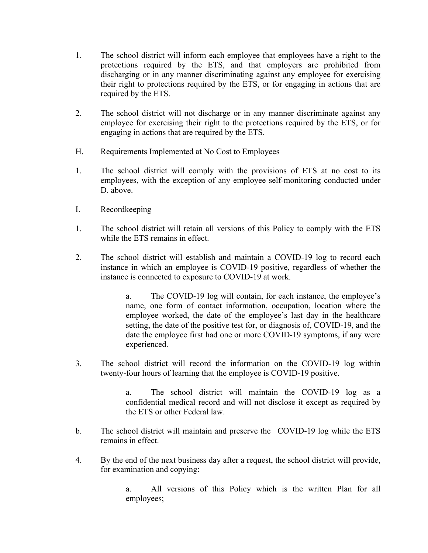- 1. The school district will inform each employee that employees have a right to the protections required by the ETS, and that employers are prohibited from discharging or in any manner discriminating against any employee for exercising their right to protections required by the ETS, or for engaging in actions that are required by the ETS.
- 2. The school district will not discharge or in any manner discriminate against any employee for exercising their right to the protections required by the ETS, or for engaging in actions that are required by the ETS.
- H. Requirements Implemented at No Cost to Employees
- 1. The school district will comply with the provisions of ETS at no cost to its employees, with the exception of any employee self-monitoring conducted under D. above.
- I. Recordkeeping
- 1. The school district will retain all versions of this Policy to comply with the ETS while the ETS remains in effect.
- 2. The school district will establish and maintain a COVID-19 log to record each instance in which an employee is COVID-19 positive, regardless of whether the instance is connected to exposure to COVID-19 at work.

a. The COVID-19 log will contain, for each instance, the employee's name, one form of contact information, occupation, location where the employee worked, the date of the employee's last day in the healthcare setting, the date of the positive test for, or diagnosis of, COVID-19, and the date the employee first had one or more COVID-19 symptoms, if any were experienced.

3. The school district will record the information on the COVID-19 log within twenty-four hours of learning that the employee is COVID-19 positive.

> a. The school district will maintain the COVID-19 log as a confidential medical record and will not disclose it except as required by the ETS or other Federal law.

- b. The school district will maintain and preserve the COVID-19 log while the ETS remains in effect.
- 4. By the end of the next business day after a request, the school district will provide, for examination and copying:

a. All versions of this Policy which is the written Plan for all employees;